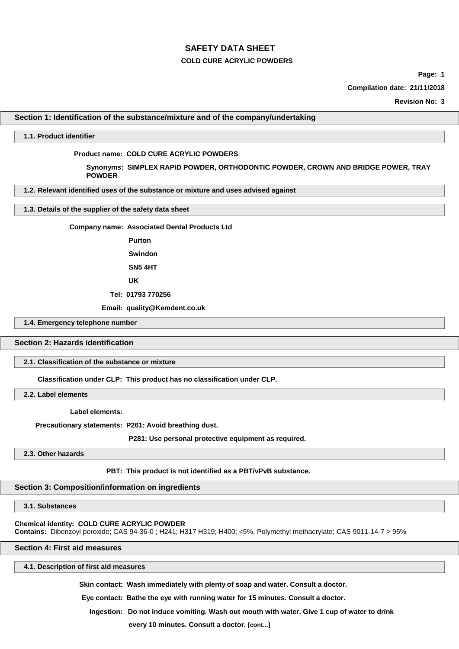## **COLD CURE ACRYLIC POWDERS**

**Page: 1**

**Compilation date: 21/11/2018**

**Revision No: 3**

## **Section 1: Identification of the substance/mixture and of the company/undertaking**

#### **1.1. Product identifier**

#### **Product name: COLD CURE ACRYLIC POWDERS**

**Synonyms: SIMPLEX RAPID POWDER, ORTHODONTIC POWDER, CROWN AND BRIDGE POWER, TRAY POWDER**

**1.2. Relevant identified uses of the substance or mixture and uses advised against**

#### **1.3. Details of the supplier of the safety data sheet**

**Company name: Associated Dental Products Ltd**

**Purton Swindon**

**SN5 4HT**

**UK**

**Tel: 01793 770256**

**Email: quality@Kemdent.co.uk**

**1.4. Emergency telephone number**

#### **Section 2: Hazards identification**

#### **2.1. Classification of the substance or mixture**

**Classification under CLP: This product has no classification under CLP.**

**2.2. Label elements**

**Label elements:**

**Precautionary statements: P261: Avoid breathing dust.**

**P281: Use personal protective equipment as required.**

**2.3. Other hazards**

#### **PBT: This product is not identified as a PBT/vPvB substance.**

## **Section 3: Composition/information on ingredients**

## **3.1. Substances**

#### **Chemical identity: COLD CURE ACRYLIC POWDER**

**Contains:** Dibenzoyl peroxide; CAS 94-36-0 ; H241; H317 H319; H400; <5%, Polymethyl methacrylate; CAS 9011-14-7 > 95%

## **Section 4: First aid measures**

**4.1. Description of first aid measures**

**Skin contact: Wash immediately with plenty of soap and water. Consult a doctor.**

**Eye contact: Bathe the eye with running water for 15 minutes. Consult a doctor.**

**Ingestion: Do not induce vomiting. Wash out mouth with water. Give 1 cup of water to drink** 

**every 10 minutes. Consult a doctor. [cont...]**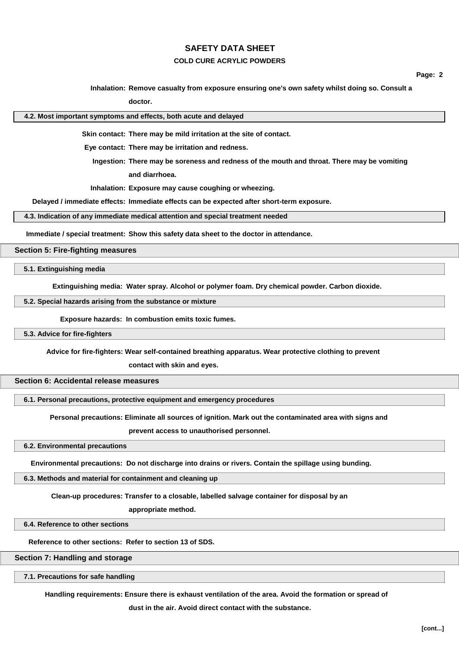## **COLD CURE ACRYLIC POWDERS**

**Page: 2**

**Inhalation: Remove casualty from exposure ensuring one's own safety whilst doing so. Consult a**

**doctor.**

**4.2. Most important symptoms and effects, both acute and delayed**

**Skin contact: There may be mild irritation at the site of contact.**

**Eye contact: There may be irritation and redness.**

**Ingestion: There may be soreness and redness of the mouth and throat. There may be vomiting and diarrhoea.**

**Inhalation: Exposure may cause coughing or wheezing.**

**Delayed / immediate effects: Immediate effects can be expected after short-term exposure.**

**4.3. Indication of any immediate medical attention and special treatment needed**

**Immediate / special treatment: Show this safety data sheet to the doctor in attendance.**

## **Section 5: Fire-fighting measures**

**5.1. Extinguishing media**

**Extinguishing media: Water spray. Alcohol or polymer foam. Dry chemical powder. Carbon dioxide.**

**5.2. Special hazards arising from the substance or mixture**

**Exposure hazards: In combustion emits toxic fumes.**

**5.3. Advice for fire-fighters**

**Advice for fire-fighters: Wear self-contained breathing apparatus. Wear protective clothing to prevent** 

**contact with skin and eyes.**

## **Section 6: Accidental release measures**

**6.1. Personal precautions, protective equipment and emergency procedures**

**Personal precautions: Eliminate all sources of ignition. Mark out the contaminated area with signs and** 

**prevent access to unauthorised personnel.**

**6.2. Environmental precautions**

**Environmental precautions: Do not discharge into drains or rivers. Contain the spillage using bunding.**

**6.3. Methods and material for containment and cleaning up**

**Clean-up procedures: Transfer to a closable, labelled salvage container for disposal by an** 

**appropriate method.**

**6.4. Reference to other sections**

**Reference to other sections: Refer to section 13 of SDS.**

**Section 7: Handling and storage**

**7.1. Precautions for safe handling**

**Handling requirements: Ensure there is exhaust ventilation of the area. Avoid the formation or spread of** 

**dust in the air. Avoid direct contact with the substance.**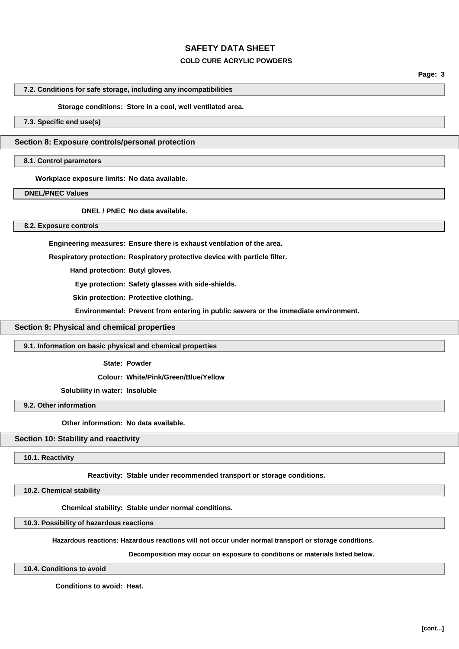## **COLD CURE ACRYLIC POWDERS**

**Page: 3**

#### **7.2. Conditions for safe storage, including any incompatibilities**

#### **Storage conditions: Store in a cool, well ventilated area.**

## **7.3. Specific end use(s)**

#### **Section 8: Exposure controls/personal protection**

## **8.1. Control parameters**

**Workplace exposure limits: No data available.**

# **DNEL/PNEC Values**

**DNEL / PNEC No data available.**

## **8.2. Exposure controls**

**Engineering measures: Ensure there is exhaust ventilation of the area.**

**Respiratory protection: Respiratory protective device with particle filter.**

**Hand protection: Butyl gloves.**

**Eye protection: Safety glasses with side-shields.**

**Skin protection: Protective clothing.**

**Environmental: Prevent from entering in public sewers or the immediate environment.**

## **Section 9: Physical and chemical properties**

#### **9.1. Information on basic physical and chemical properties**

**State: Powder**

**Colour: White/Pink/Green/Blue/Yellow**

#### **Solubility in water: Insoluble**

**9.2. Other information**

#### **Other information: No data available.**

#### **Section 10: Stability and reactivity**

**10.1. Reactivity**

**Reactivity: Stable under recommended transport or storage conditions.**

#### **10.2. Chemical stability**

**Chemical stability: Stable under normal conditions.**

**10.3. Possibility of hazardous reactions**

**Hazardous reactions: Hazardous reactions will not occur under normal transport or storage conditions.** 

**Decomposition may occur on exposure to conditions or materials listed below.**

**10.4. Conditions to avoid**

**Conditions to avoid: Heat.**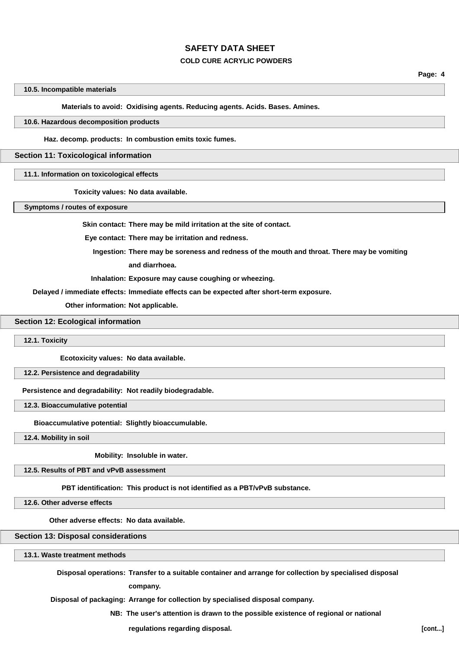## **COLD CURE ACRYLIC POWDERS**

**Page: 4**

#### **10.5. Incompatible materials**

**Materials to avoid: Oxidising agents. Reducing agents. Acids. Bases. Amines.**

#### **10.6. Hazardous decomposition products**

**Haz. decomp. products: In combustion emits toxic fumes.**

#### **Section 11: Toxicological information**

**11.1. Information on toxicological effects**

**Toxicity values: No data available.**

**Symptoms / routes of exposure**

**Skin contact: There may be mild irritation at the site of contact.**

**Eye contact: There may be irritation and redness.**

**Ingestion: There may be soreness and redness of the mouth and throat. There may be vomiting and diarrhoea.**

**Inhalation: Exposure may cause coughing or wheezing.**

**Delayed / immediate effects: Immediate effects can be expected after short-term exposure.**

**Other information: Not applicable.**

**Section 12: Ecological information**

**12.1. Toxicity**

**Ecotoxicity values: No data available.**

**12.2. Persistence and degradability**

**Persistence and degradability: Not readily biodegradable.**

**12.3. Bioaccumulative potential**

**Bioaccumulative potential: Slightly bioaccumulable.**

**12.4. Mobility in soil**

**Mobility: Insoluble in water.**

**12.5. Results of PBT and vPvB assessment**

**PBT identification: This product is not identified as a PBT/vPvB substance.**

**12.6. Other adverse effects**

**Other adverse effects: No data available.**

**Section 13: Disposal considerations**

**13.1. Waste treatment methods**

**Disposal operations: Transfer to a suitable container and arrange for collection by specialised disposal**

**company.**

**Disposal of packaging: Arrange for collection by specialised disposal company.**

**NB: The user's attention is drawn to the possible existence of regional or national**

**regulations regarding disposal. [cont...]**